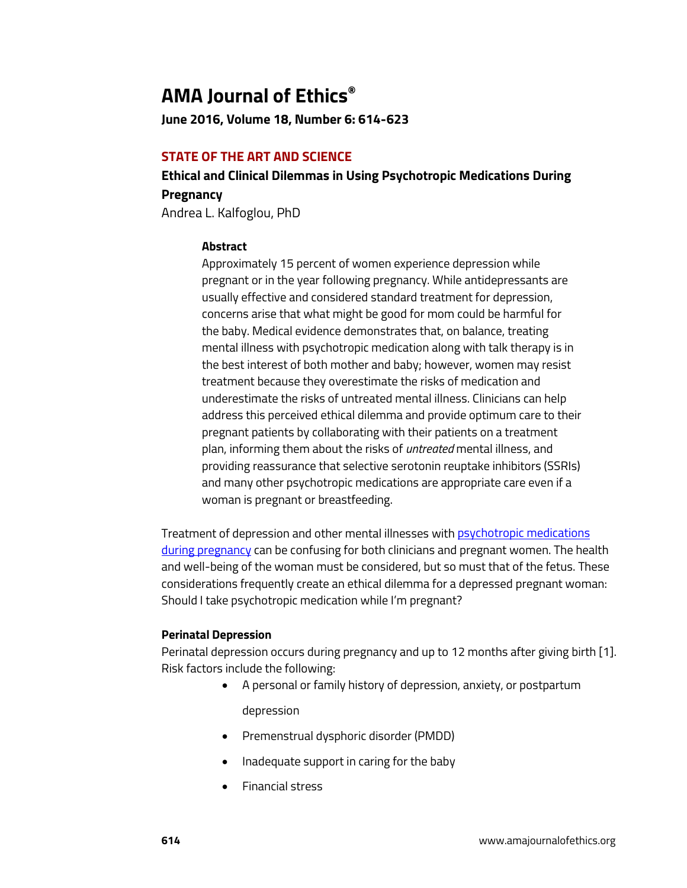# **AMA Journal of Ethics®**

**June 2016, Volume 18, Number 6: 614-623**

# **STATE OF THE ART AND SCIENCE**

**Ethical and Clinical Dilemmas in Using Psychotropic Medications During Pregnancy** Andrea L. Kalfoglou, PhD

# **Abstract**

Approximately 15 percent of women experience depression while pregnant or in the year following pregnancy. While antidepressants are usually effective and considered standard treatment for depression, concerns arise that what might be good for mom could be harmful for the baby. Medical evidence demonstrates that, on balance, treating mental illness with psychotropic medication along with talk therapy is in the best interest of both mother and baby; however, women may resist treatment because they overestimate the risks of medication and underestimate the risks of untreated mental illness. Clinicians can help address this perceived ethical dilemma and provide optimum care to their pregnant patients by collaborating with their patients on a treatment plan, informing them about the risks of *untreated* mental illness, and providing reassurance that selective serotonin reuptake inhibitors (SSRIs) and many other psychotropic medications are appropriate care even if a woman is pregnant or breastfeeding.

Treatment of depression and other mental illnesses with [psychotropic medications](http://journalofethics.ama-assn.org/2013/09/ecas1-1309.html)  [during pregnancy](http://journalofethics.ama-assn.org/2013/09/ecas1-1309.html) can be confusing for both clinicians and pregnant women. The health and well-being of the woman must be considered, but so must that of the fetus. These considerations frequently create an ethical dilemma for a depressed pregnant woman: Should I take psychotropic medication while I'm pregnant?

# **Perinatal Depression**

Perinatal depression occurs during pregnancy and up to 12 months after giving birth [1]. Risk factors include the following:

- A personal or family history of depression, anxiety, or postpartum depression
- Premenstrual dysphoric disorder (PMDD)
- Inadequate support in caring for the baby
- Financial stress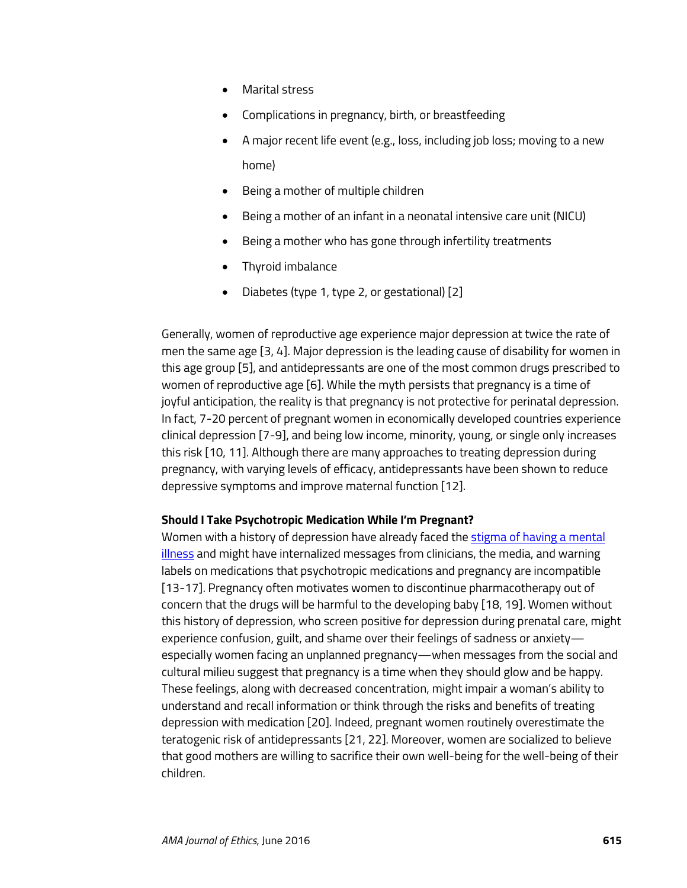- Marital stress
- Complications in pregnancy, birth, or breastfeeding
- A major recent life event (e.g., loss, including job loss; moving to a new home)
- Being a mother of multiple children
- Being a mother of an infant in a neonatal intensive care unit (NICU)
- Being a mother who has gone through infertility treatments
- Thyroid imbalance
- Diabetes (type 1, type 2, or gestational) [2]

Generally, women of reproductive age experience major depression at twice the rate of men the same age [3, 4]. Major depression is the leading cause of disability for women in this age group [5], and antidepressants are one of the most common drugs prescribed to women of reproductive age [6]. While the myth persists that pregnancy is a time of joyful anticipation, the reality is that pregnancy is not protective for perinatal depression. In fact, 7-20 percent of pregnant women in economically developed countries experience clinical depression [7-9], and being low income, minority, young, or single only increases this risk [10, 11]. Although there are many approaches to treating depression during pregnancy, with varying levels of efficacy, antidepressants have been shown to reduce depressive symptoms and improve maternal function [12].

# **Should I Take Psychotropic Medication While I'm Pregnant?**

Women with a history of depression have already faced the [stigma of having a mental](http://journalofethics.ama-assn.org/2011/12/stas1-1112.html)  [illness](http://journalofethics.ama-assn.org/2011/12/stas1-1112.html) and might have internalized messages from clinicians, the media, and warning labels on medications that psychotropic medications and pregnancy are incompatible [13-17]. Pregnancy often motivates women to discontinue pharmacotherapy out of concern that the drugs will be harmful to the developing baby [18, 19]. Women without this history of depression, who screen positive for depression during prenatal care, might experience confusion, guilt, and shame over their feelings of sadness or anxiety especially women facing an unplanned pregnancy—when messages from the social and cultural milieu suggest that pregnancy is a time when they should glow and be happy. These feelings, along with decreased concentration, might impair a woman's ability to understand and recall information or think through the risks and benefits of treating depression with medication [20]. Indeed, pregnant women routinely overestimate the teratogenic risk of antidepressants [21, 22]. Moreover, women are socialized to believe that good mothers are willing to sacrifice their own well-being for the well-being of their children.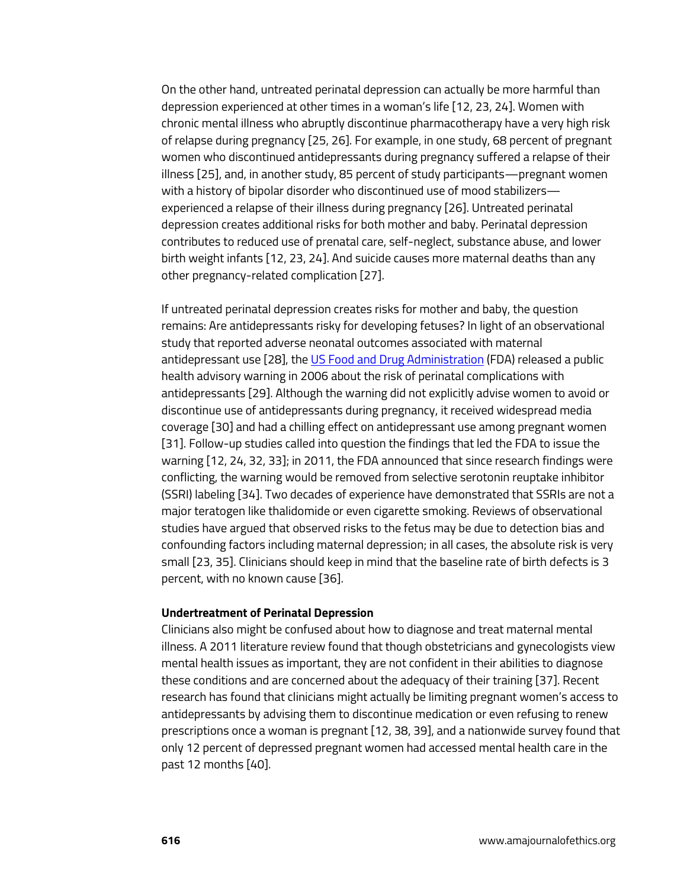On the other hand, untreated perinatal depression can actually be more harmful than depression experienced at other times in a woman's life [12, 23, 24]. Women with chronic mental illness who abruptly discontinue pharmacotherapy have a very high risk of relapse during pregnancy [25, 26]. For example, in one study, 68 percent of pregnant women who discontinued antidepressants during pregnancy suffered a relapse of their illness [25], and, in another study, 85 percent of study participants—pregnant women with a history of bipolar disorder who discontinued use of mood stabilizersexperienced a relapse of their illness during pregnancy [26]. Untreated perinatal depression creates additional risks for both mother and baby. Perinatal depression contributes to reduced use of prenatal care, self-neglect, substance abuse, and lower birth weight infants [12, 23, 24]. And suicide causes more maternal deaths than any other pregnancy-related complication [27].

If untreated perinatal depression creates risks for mother and baby, the question remains: Are antidepressants risky for developing fetuses? In light of an observational study that reported adverse neonatal outcomes associated with maternal antidepressant use [28], the [US Food and Drug Administration](http://journalofethics.ama-assn.org/2013/09/pfor1-1309.html) (FDA) released a public health advisory warning in 2006 about the risk of perinatal complications with antidepressants [29]. Although the warning did not explicitly advise women to avoid or discontinue use of antidepressants during pregnancy, it received widespread media coverage [30] and had a chilling effect on antidepressant use among pregnant women [31]. Follow-up studies called into question the findings that led the FDA to issue the warning [12, 24, 32, 33]; in 2011, the FDA announced that since research findings were conflicting, the warning would be removed from selective serotonin reuptake inhibitor (SSRI) labeling [34]. Two decades of experience have demonstrated that SSRIs are not a major teratogen like thalidomide or even cigarette smoking. Reviews of observational studies have argued that observed risks to the fetus may be due to detection bias and confounding factors including maternal depression; in all cases, the absolute risk is very small [23, 35]. Clinicians should keep in mind that the baseline rate of birth defects is 3 percent, with no known cause [36].

#### **Undertreatment of Perinatal Depression**

Clinicians also might be confused about how to diagnose and treat maternal mental illness. A 2011 literature review found that though obstetricians and gynecologists view mental health issues as important, they are not confident in their abilities to diagnose these conditions and are concerned about the adequacy of their training [37]. Recent research has found that clinicians might actually be limiting pregnant women's access to antidepressants by advising them to discontinue medication or even refusing to renew prescriptions once a woman is pregnant [12, 38, 39], and a nationwide survey found that only 12 percent of depressed pregnant women had accessed mental health care in the past 12 months [40].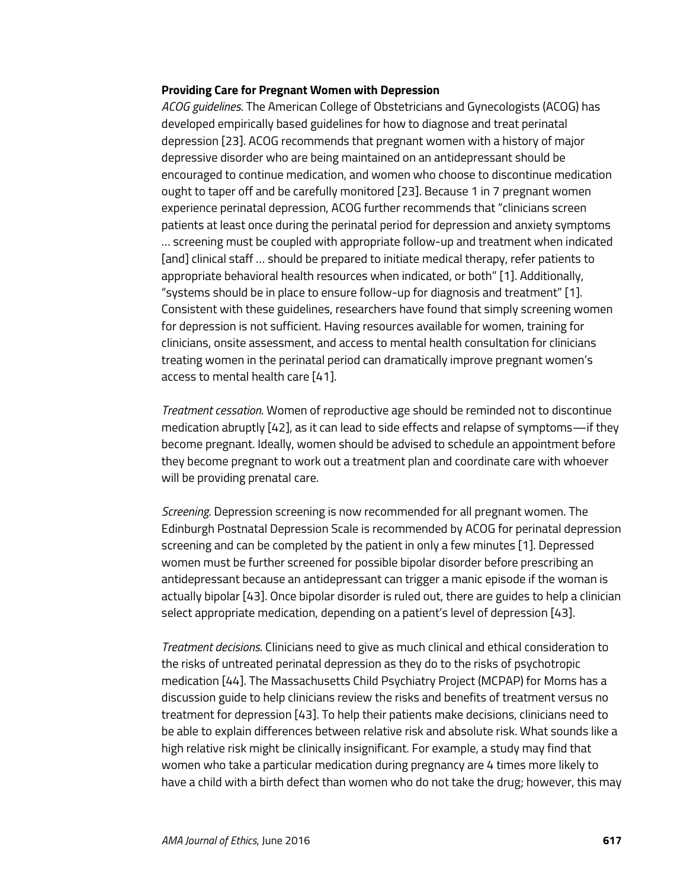#### **Providing Care for Pregnant Women with Depression**

*ACOG guidelines*. The American College of Obstetricians and Gynecologists (ACOG) has developed empirically based guidelines for how to diagnose and treat perinatal depression [23]. ACOG recommends that pregnant women with a history of major depressive disorder who are being maintained on an antidepressant should be encouraged to continue medication, and women who choose to discontinue medication ought to taper off and be carefully monitored [23]. Because 1 in 7 pregnant women experience perinatal depression, ACOG further recommends that "clinicians screen patients at least once during the perinatal period for depression and anxiety symptoms … screening must be coupled with appropriate follow-up and treatment when indicated [and] clinical staff … should be prepared to initiate medical therapy, refer patients to appropriate behavioral health resources when indicated, or both" [1]. Additionally, "systems should be in place to ensure follow-up for diagnosis and treatment" [1]. Consistent with these guidelines, researchers have found that simply screening women for depression is not sufficient. Having resources available for women, training for clinicians, onsite assessment, and access to mental health consultation for clinicians treating women in the perinatal period can dramatically improve pregnant women's access to mental health care [41].

*Treatment cessation*. Women of reproductive age should be reminded not to discontinue medication abruptly [42], as it can lead to side effects and relapse of symptoms—if they become pregnant. Ideally, women should be advised to schedule an appointment before they become pregnant to work out a treatment plan and coordinate care with whoever will be providing prenatal care.

*Screening*. Depression screening is now recommended for all pregnant women. The Edinburgh Postnatal Depression Scale is recommended by ACOG for perinatal depression screening and can be completed by the patient in only a few minutes [1]. Depressed women must be further screened for possible bipolar disorder before prescribing an antidepressant because an antidepressant can trigger a manic episode if the woman is actually bipolar [43]. Once bipolar disorder is ruled out, there are guides to help a clinician select appropriate medication, depending on a patient's level of depression [43].

*Treatment decisions*. Clinicians need to give as much clinical and ethical consideration to the risks of untreated perinatal depression as they do to the risks of psychotropic medication [44]. The Massachusetts Child Psychiatry Project (MCPAP) for Moms has a discussion guide to help clinicians review the risks and benefits of treatment versus no treatment for depression [43]. To help their patients make decisions, clinicians need to be able to explain differences between relative risk and absolute risk. What sounds like a high relative risk might be clinically insignificant. For example, a study may find that women who take a particular medication during pregnancy are 4 times more likely to have a child with a birth defect than women who do not take the drug; however, this may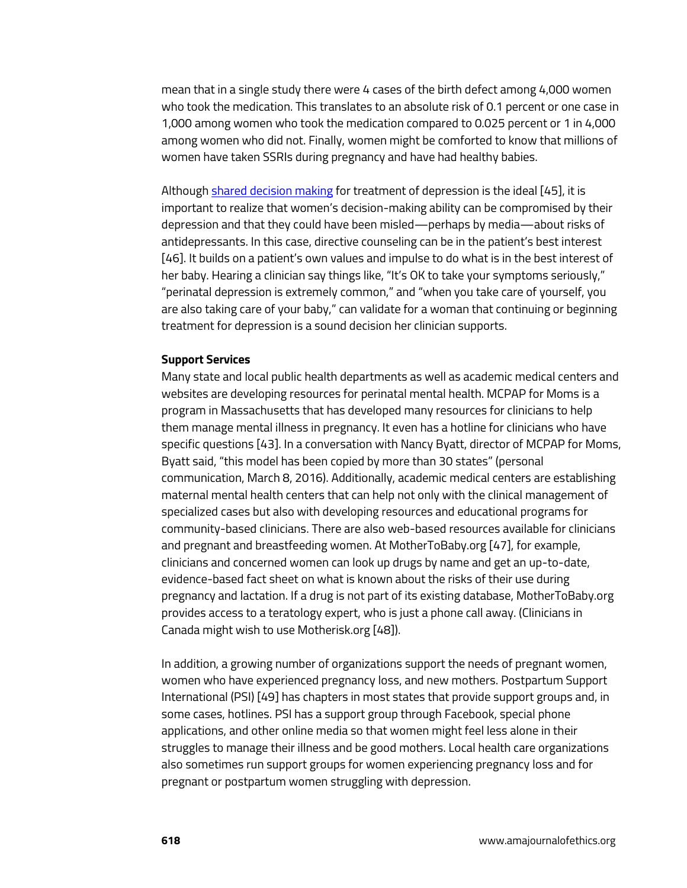mean that in a single study there were 4 cases of the birth defect among 4,000 women who took the medication. This translates to an absolute risk of 0.1 percent or one case in 1,000 among women who took the medication compared to 0.025 percent or 1 in 4,000 among women who did not. Finally, women might be comforted to know that millions of women have taken SSRIs during pregnancy and have had healthy babies.

Althoug[h shared decision making](http://journalofethics.ama-assn.org/2013/01/ecas1-1301.html) for treatment of depression is the ideal [45], it is important to realize that women's decision-making ability can be compromised by their depression and that they could have been misled—perhaps by media—about risks of antidepressants. In this case, directive counseling can be in the patient's best interest [46]. It builds on a patient's own values and impulse to do what is in the best interest of her baby. Hearing a clinician say things like, "It's OK to take your symptoms seriously," "perinatal depression is extremely common," and "when you take care of yourself, you are also taking care of your baby," can validate for a woman that continuing or beginning treatment for depression is a sound decision her clinician supports.

#### **Support Services**

Many state and local public health departments as well as academic medical centers and websites are developing resources for perinatal mental health. MCPAP for Moms is a program in Massachusetts that has developed many resources for clinicians to help them manage mental illness in pregnancy. It even has a hotline for clinicians who have specific questions [43]. In a conversation with Nancy Byatt, director of MCPAP for Moms, Byatt said, "this model has been copied by more than 30 states" (personal communication, March 8, 2016). Additionally, academic medical centers are establishing maternal mental health centers that can help not only with the clinical management of specialized cases but also with developing resources and educational programs for community-based clinicians. There are also web-based resources available for clinicians and pregnant and breastfeeding women. At MotherToBaby.org [47], for example, clinicians and concerned women can look up drugs by name and get an up-to-date, evidence-based fact sheet on what is known about the risks of their use during pregnancy and lactation. If a drug is not part of its existing database, MotherToBaby.org provides access to a teratology expert, who is just a phone call away. (Clinicians in Canada might wish to use Motherisk.org [48]).

In addition, a growing number of organizations support the needs of pregnant women, women who have experienced pregnancy loss, and new mothers. Postpartum Support International (PSI) [49] has chapters in most states that provide support groups and, in some cases, hotlines. PSI has a support group through Facebook, special phone applications, and other online media so that women might feel less alone in their struggles to manage their illness and be good mothers. Local health care organizations also sometimes run support groups for women experiencing pregnancy loss and for pregnant or postpartum women struggling with depression.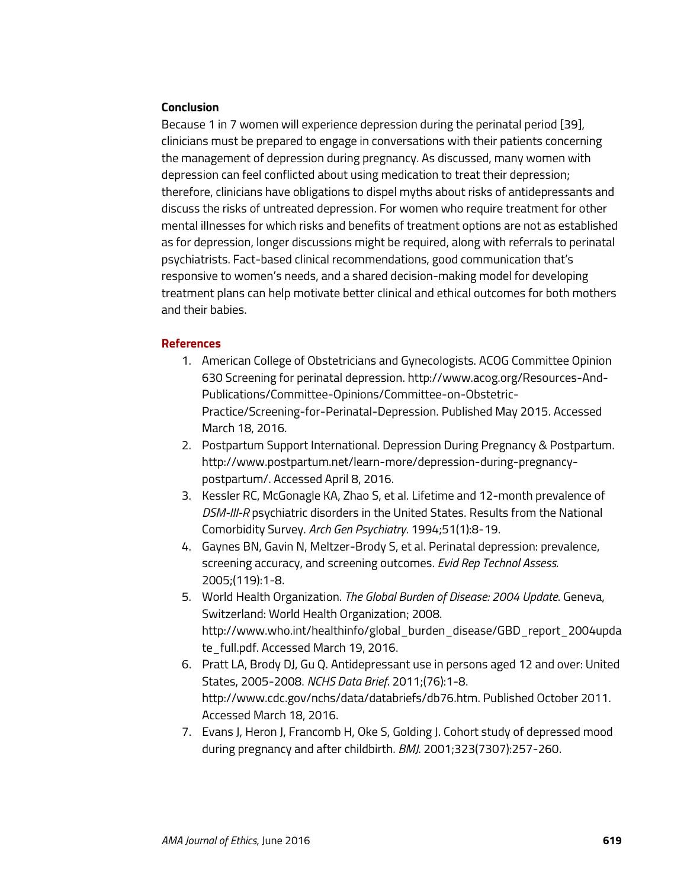## **Conclusion**

Because 1 in 7 women will experience depression during the perinatal period [39], clinicians must be prepared to engage in conversations with their patients concerning the management of depression during pregnancy. As discussed, many women with depression can feel conflicted about using medication to treat their depression; therefore, clinicians have obligations to dispel myths about risks of antidepressants and discuss the risks of untreated depression. For women who require treatment for other mental illnesses for which risks and benefits of treatment options are not as established as for depression, longer discussions might be required, along with referrals to perinatal psychiatrists. Fact-based clinical recommendations, good communication that's responsive to women's needs, and a shared decision-making model for developing treatment plans can help motivate better clinical and ethical outcomes for both mothers and their babies.

## **References**

- 1. American College of Obstetricians and Gynecologists. ACOG Committee Opinion 630 Screening for perinatal depression. http://www.acog.org/Resources-And-Publications/Committee-Opinions/Committee-on-Obstetric-Practice/Screening-for-Perinatal-Depression. Published May 2015. Accessed March 18, 2016.
- 2. Postpartum Support International. Depression During Pregnancy & Postpartum. http://www.postpartum.net/learn-more/depression-during-pregnancypostpartum/. Accessed April 8, 2016.
- 3. Kessler RC, McGonagle KA, Zhao S, et al. Lifetime and 12-month prevalence of *DSM-III-R* psychiatric disorders in the United States. Results from the National Comorbidity Survey. *Arch Gen Psychiatry*. 1994;51(1):8-19.
- 4. Gaynes BN, Gavin N, Meltzer-Brody S, et al. Perinatal depression: prevalence, screening accuracy, and screening outcomes. *Evid Rep Technol Assess*. 2005;(119):1-8.
- 5. World Health Organization. *The Global Burden of Disease: 2004 Update*. Geneva, Switzerland: World Health Organization; 2008. http://www.who.int/healthinfo/global\_burden\_disease/GBD\_report\_2004upda te full.pdf. Accessed March 19, 2016.
- 6. Pratt LA, Brody DJ, Gu Q. Antidepressant use in persons aged 12 and over: United States, 2005-2008. *NCHS Data Brief*. 2011;(76):1-8. http://www.cdc.gov/nchs/data/databriefs/db76.htm. Published October 2011. Accessed March 18, 2016.
- 7. Evans J, Heron J, Francomb H, Oke S, Golding J. Cohort study of depressed mood during pregnancy and after childbirth. *BMJ*. 2001;323(7307):257-260.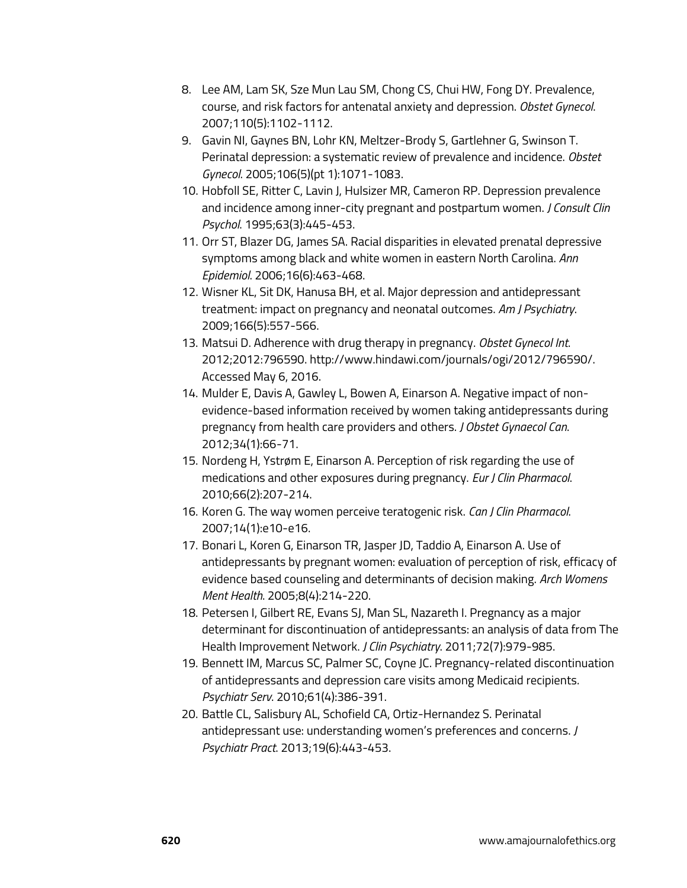- 8. Lee AM, Lam SK, Sze Mun Lau SM, Chong CS, Chui HW, Fong DY. Prevalence, course, and risk factors for antenatal anxiety and depression. *Obstet Gynecol*. 2007;110(5):1102-1112.
- 9. Gavin NI, Gaynes BN, Lohr KN, Meltzer-Brody S, Gartlehner G, Swinson T. Perinatal depression: a systematic review of prevalence and incidence. *Obstet Gynecol*. 2005;106(5)(pt 1):1071-1083.
- 10. Hobfoll SE, Ritter C, Lavin J, Hulsizer MR, Cameron RP. Depression prevalence and incidence among inner-city pregnant and postpartum women. *J Consult Clin Psychol*. 1995;63(3):445-453.
- 11. Orr ST, Blazer DG, James SA. Racial disparities in elevated prenatal depressive symptoms among black and white women in eastern North Carolina. *Ann Epidemiol*. 2006;16(6):463-468.
- 12. Wisner KL, Sit DK, Hanusa BH, et al. Major depression and antidepressant treatment: impact on pregnancy and neonatal outcomes. *Am J Psychiatry*. 2009;166(5):557-566.
- 13. Matsui D. Adherence with drug therapy in pregnancy. *Obstet Gynecol Int*. 2012;2012:796590. http://www.hindawi.com/journals/ogi/2012/796590/. Accessed May 6, 2016.
- 14. Mulder E, Davis A, Gawley L, Bowen A, Einarson A. Negative impact of nonevidence-based information received by women taking antidepressants during pregnancy from health care providers and others. *J Obstet Gynaecol Can*. 2012;34(1):66-71.
- 15. Nordeng H, Ystrøm E, Einarson A. Perception of risk regarding the use of medications and other exposures during pregnancy. *Eur J Clin Pharmacol*. 2010;66(2):207-214.
- 16. Koren G. The way women perceive teratogenic risk. *Can J Clin Pharmacol*. 2007;14(1):e10-e16.
- 17. Bonari L, Koren G, Einarson TR, Jasper JD, Taddio A, Einarson A. Use of antidepressants by pregnant women: evaluation of perception of risk, efficacy of evidence based counseling and determinants of decision making. *Arch Womens Ment Health*. 2005;8(4):214-220.
- 18. Petersen I, Gilbert RE, Evans SJ, Man SL, Nazareth I. Pregnancy as a major determinant for discontinuation of antidepressants: an analysis of data from The Health Improvement Network. *J Clin Psychiatry*. 2011;72(7):979-985.
- 19. Bennett IM, Marcus SC, Palmer SC, Coyne JC. Pregnancy-related discontinuation of antidepressants and depression care visits among Medicaid recipients. *Psychiatr Serv*. 2010;61(4):386-391.
- 20. Battle CL, Salisbury AL, Schofield CA, Ortiz-Hernandez S. Perinatal antidepressant use: understanding women's preferences and concerns. *J Psychiatr Pract*. 2013;19(6):443-453.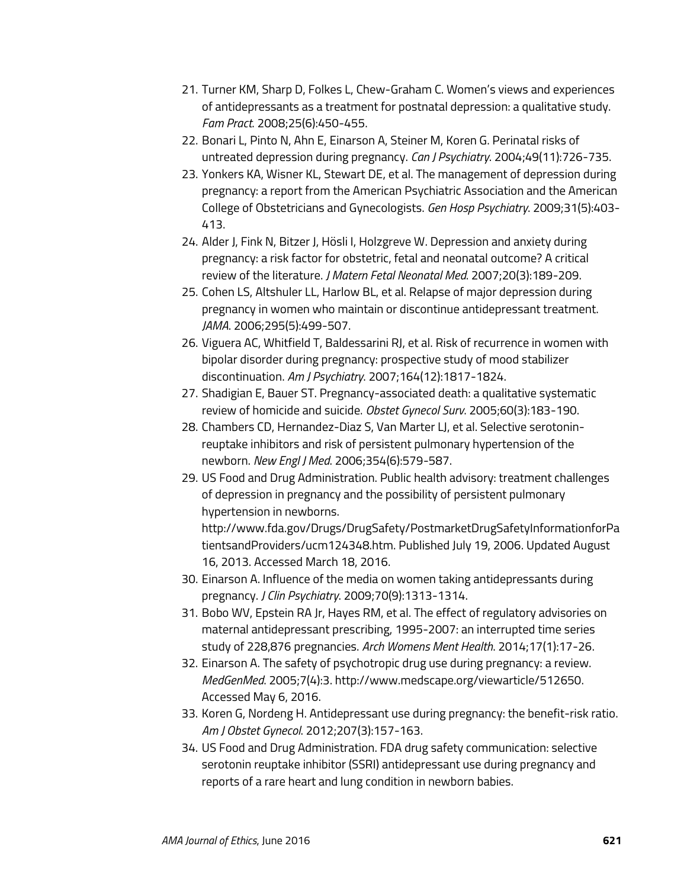- 21. Turner KM, Sharp D, Folkes L, Chew-Graham C. Women's views and experiences of antidepressants as a treatment for postnatal depression: a qualitative study. *Fam Pract*. 2008;25(6):450-455.
- 22. Bonari L, Pinto N, Ahn E, Einarson A, Steiner M, Koren G. Perinatal risks of untreated depression during pregnancy. *Can J Psychiatry*. 2004;49(11):726-735.
- 23. Yonkers KA, Wisner KL, Stewart DE, et al. The management of depression during pregnancy: a report from the American Psychiatric Association and the American College of Obstetricians and Gynecologists. *Gen Hosp Psychiatry*. 2009;31(5):403- 413.
- 24. Alder J, Fink N, Bitzer J, Hösli I, Holzgreve W. Depression and anxiety during pregnancy: a risk factor for obstetric, fetal and neonatal outcome? A critical review of the literature. *J Matern Fetal Neonatal Med*. 2007;20(3):189-209.
- 25. Cohen LS, Altshuler LL, Harlow BL, et al. Relapse of major depression during pregnancy in women who maintain or discontinue antidepressant treatment. *JAMA*. 2006;295(5):499-507.
- 26. Viguera AC, Whitfield T, Baldessarini RJ, et al. Risk of recurrence in women with bipolar disorder during pregnancy: prospective study of mood stabilizer discontinuation. *Am J Psychiatry*. 2007;164(12):1817-1824.
- 27. Shadigian E, Bauer ST. Pregnancy-associated death: a qualitative systematic review of homicide and suicide. *Obstet Gynecol Surv*. 2005;60(3):183-190.
- 28. Chambers CD, Hernandez-Diaz S, Van Marter LJ, et al. Selective serotoninreuptake inhibitors and risk of persistent pulmonary hypertension of the newborn. *New Engl J Med*. 2006;354(6):579-587.
- 29. US Food and Drug Administration. Public health advisory: treatment challenges of depression in pregnancy and the possibility of persistent pulmonary hypertension in newborns.

http://www.fda.gov/Drugs/DrugSafety/PostmarketDrugSafetyInformationforPa tientsandProviders/ucm124348.htm. Published July 19, 2006. Updated August 16, 2013. Accessed March 18, 2016.

- 30. Einarson A. Influence of the media on women taking antidepressants during pregnancy. *J Clin Psychiatry*. 2009;70(9):1313-1314.
- 31. Bobo WV, Epstein RA Jr, Hayes RM, et al. The effect of regulatory advisories on maternal antidepressant prescribing, 1995-2007: an interrupted time series study of 228,876 pregnancies. *Arch Womens Ment Health*. 2014;17(1):17-26.
- 32. Einarson A. The safety of psychotropic drug use during pregnancy: a review. *MedGenMed*. 2005;7(4):3. http://www.medscape.org/viewarticle/512650. Accessed May 6, 2016.
- 33. Koren G, Nordeng H. Antidepressant use during pregnancy: the benefit-risk ratio. *Am J Obstet Gynecol*. 2012;207(3):157-163.
- 34. US Food and Drug Administration. FDA drug safety communication: selective serotonin reuptake inhibitor (SSRI) antidepressant use during pregnancy and reports of a rare heart and lung condition in newborn babies.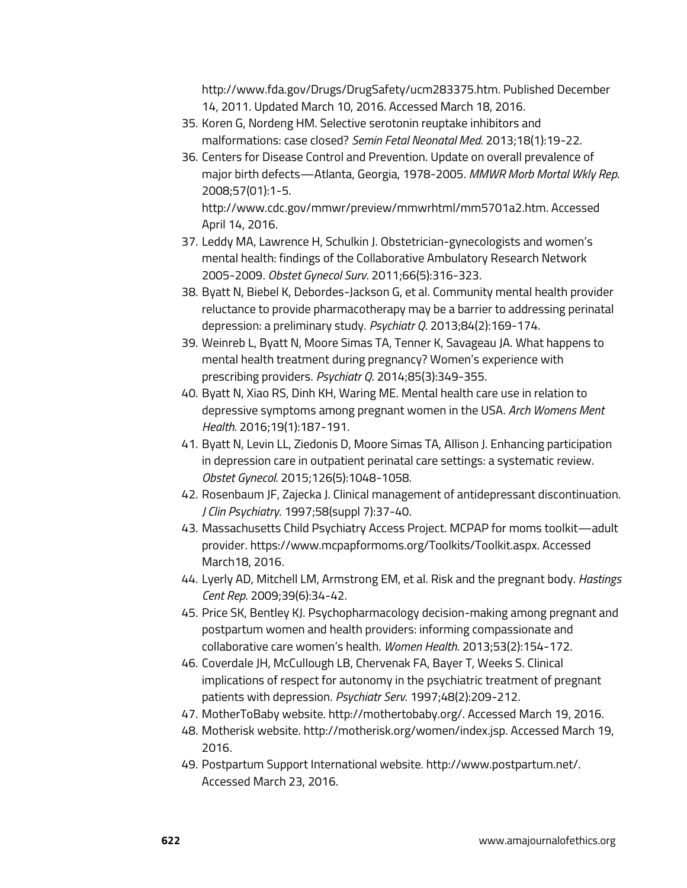http://www.fda.gov/Drugs/DrugSafety/ucm283375.htm. Published December 14, 2011. Updated March 10, 2016. Accessed March 18, 2016.

- 35. Koren G, Nordeng HM. Selective serotonin reuptake inhibitors and malformations: case closed? *Semin Fetal Neonatal Med*. 2013;18(1):19-22.
- 36. Centers for Disease Control and Prevention. Update on overall prevalence of major birth defects—Atlanta, Georgia, 1978-2005. *MMWR Morb Mortal Wkly Rep*. 2008;57(01):1-5.

http://www.cdc.gov/mmwr/preview/mmwrhtml/mm5701a2.htm. Accessed April 14, 2016.

- 37. Leddy MA, Lawrence H, Schulkin J. Obstetrician-gynecologists and women's mental health: findings of the Collaborative Ambulatory Research Network 2005-2009. *Obstet Gynecol Surv*. 2011;66(5):316-323.
- 38. Byatt N, Biebel K, Debordes-Jackson G, et al. Community mental health provider reluctance to provide pharmacotherapy may be a barrier to addressing perinatal depression: a preliminary study. *Psychiatr Q*. 2013;84(2):169-174.
- 39. Weinreb L, Byatt N, Moore Simas TA, Tenner K, Savageau JA. What happens to mental health treatment during pregnancy? Women's experience with prescribing providers. *Psychiatr Q*. 2014;85(3):349-355.
- 40. Byatt N, Xiao RS, Dinh KH, Waring ME. Mental health care use in relation to depressive symptoms among pregnant women in the USA. *Arch Womens Ment Health*. 2016;19(1):187-191.
- 41. Byatt N, Levin LL, Ziedonis D, Moore Simas TA, Allison J. Enhancing participation in depression care in outpatient perinatal care settings: a systematic review. *Obstet Gynecol*. 2015;126(5):1048-1058.
- 42. Rosenbaum JF, Zajecka J. Clinical management of antidepressant discontinuation. *J Clin Psychiatry*. 1997;58(suppl 7):37-40.
- 43. Massachusetts Child Psychiatry Access Project. MCPAP for moms toolkit—adult provider. https://www.mcpapformoms.org/Toolkits/Toolkit.aspx. Accessed March18, 2016.
- 44. Lyerly AD, Mitchell LM, Armstrong EM, et al. Risk and the pregnant body. *Hastings Cent Rep*. 2009;39(6):34-42.
- 45. Price SK, Bentley KJ. Psychopharmacology decision-making among pregnant and postpartum women and health providers: informing compassionate and collaborative care women's health. *Women Health*. 2013;53(2):154-172.
- 46. Coverdale JH, McCullough LB, Chervenak FA, Bayer T, Weeks S. Clinical implications of respect for autonomy in the psychiatric treatment of pregnant patients with depression. *Psychiatr Serv*. 1997;48(2):209-212.
- 47. MotherToBaby website. http://mothertobaby.org/. Accessed March 19, 2016.
- 48. Motherisk website. http://motherisk.org/women/index.jsp. Accessed March 19, 2016.
- 49. Postpartum Support International website. http://www.postpartum.net/. Accessed March 23, 2016.